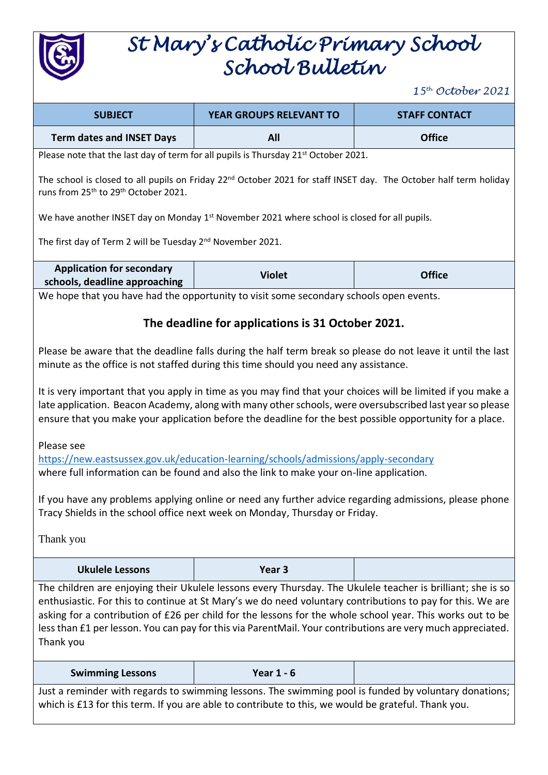

## *St Mary's Catholic Primary School School Bulletin*

*15 th October 2021*

| <b>SUBJECT</b>                                                                                                                                                                                                                                                                                                                                                                                                                                                      | YEAR GROUPS RELEVANT TO                                                                | <b>STAFF CONTACT</b> |  |
|---------------------------------------------------------------------------------------------------------------------------------------------------------------------------------------------------------------------------------------------------------------------------------------------------------------------------------------------------------------------------------------------------------------------------------------------------------------------|----------------------------------------------------------------------------------------|----------------------|--|
| <b>Term dates and INSET Days</b>                                                                                                                                                                                                                                                                                                                                                                                                                                    | All                                                                                    | <b>Office</b>        |  |
| Please note that the last day of term for all pupils is Thursday 21 <sup>st</sup> October 2021.                                                                                                                                                                                                                                                                                                                                                                     |                                                                                        |                      |  |
| The school is closed to all pupils on Friday 22 <sup>nd</sup> October 2021 for staff INSET day. The October half term holiday<br>runs from 25 <sup>th</sup> to 29 <sup>th</sup> October 2021.                                                                                                                                                                                                                                                                       |                                                                                        |                      |  |
| We have another INSET day on Monday $1st$ November 2021 where school is closed for all pupils.                                                                                                                                                                                                                                                                                                                                                                      |                                                                                        |                      |  |
| The first day of Term 2 will be Tuesday 2 <sup>nd</sup> November 2021.                                                                                                                                                                                                                                                                                                                                                                                              |                                                                                        |                      |  |
| <b>Application for secondary</b>                                                                                                                                                                                                                                                                                                                                                                                                                                    |                                                                                        |                      |  |
| schools, deadline approaching                                                                                                                                                                                                                                                                                                                                                                                                                                       | <b>Violet</b>                                                                          | <b>Office</b>        |  |
|                                                                                                                                                                                                                                                                                                                                                                                                                                                                     | We hope that you have had the opportunity to visit some secondary schools open events. |                      |  |
|                                                                                                                                                                                                                                                                                                                                                                                                                                                                     |                                                                                        |                      |  |
| The deadline for applications is 31 October 2021.                                                                                                                                                                                                                                                                                                                                                                                                                   |                                                                                        |                      |  |
| Please be aware that the deadline falls during the half term break so please do not leave it until the last<br>minute as the office is not staffed during this time should you need any assistance.                                                                                                                                                                                                                                                                 |                                                                                        |                      |  |
| It is very important that you apply in time as you may find that your choices will be limited if you make a<br>late application. Beacon Academy, along with many other schools, were oversubscribed last year so please<br>ensure that you make your application before the deadline for the best possible opportunity for a place.                                                                                                                                 |                                                                                        |                      |  |
| Please see<br>https://new.eastsussex.gov.uk/education-learning/schools/admissions/apply-secondary<br>where full information can be found and also the link to make your on-line application.                                                                                                                                                                                                                                                                        |                                                                                        |                      |  |
| If you have any problems applying online or need any further advice regarding admissions, please phone<br>Tracy Shields in the school office next week on Monday, Thursday or Friday.                                                                                                                                                                                                                                                                               |                                                                                        |                      |  |
| Thank you                                                                                                                                                                                                                                                                                                                                                                                                                                                           |                                                                                        |                      |  |
| <b>Ukulele Lessons</b>                                                                                                                                                                                                                                                                                                                                                                                                                                              | Year <sub>3</sub>                                                                      |                      |  |
| The children are enjoying their Ukulele lessons every Thursday. The Ukulele teacher is brilliant; she is so<br>enthusiastic. For this to continue at St Mary's we do need voluntary contributions to pay for this. We are<br>asking for a contribution of £26 per child for the lessons for the whole school year. This works out to be<br>less than £1 per lesson. You can pay for this via ParentMail. Your contributions are very much appreciated.<br>Thank you |                                                                                        |                      |  |
| <b>Swimming Lessons</b>                                                                                                                                                                                                                                                                                                                                                                                                                                             | <b>Year 1 - 6</b>                                                                      |                      |  |
| Just a reminder with regards to swimming lessons. The swimming pool is funded by voluntary donations;<br>which is £13 for this term. If you are able to contribute to this, we would be grateful. Thank you.                                                                                                                                                                                                                                                        |                                                                                        |                      |  |
|                                                                                                                                                                                                                                                                                                                                                                                                                                                                     |                                                                                        |                      |  |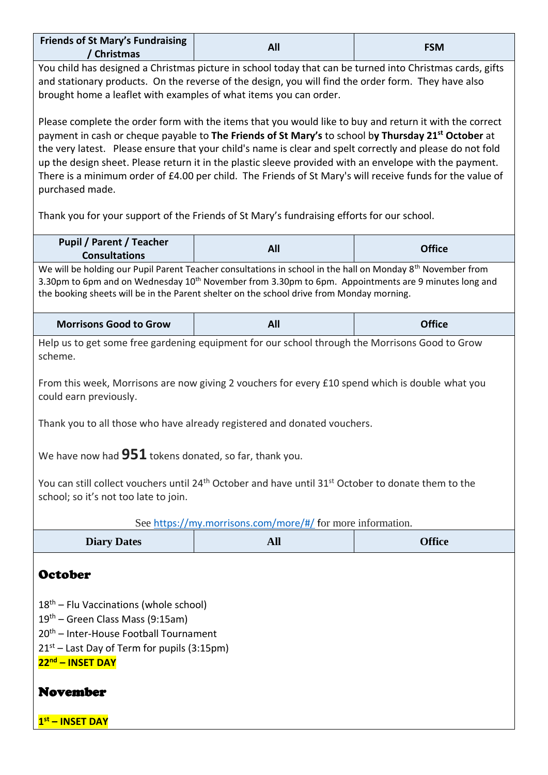| <b>Friends of St Mary's Fundraising</b><br>/ Christmas                                                                                                                                                                                                                                                                                                                                                                                                                                                                                                                                                                                                                     | All                                                                                                                                                                                                                                                                                                                                                                                                                                                                                                                                                                                                                                                           | <b>FSM</b>    |
|----------------------------------------------------------------------------------------------------------------------------------------------------------------------------------------------------------------------------------------------------------------------------------------------------------------------------------------------------------------------------------------------------------------------------------------------------------------------------------------------------------------------------------------------------------------------------------------------------------------------------------------------------------------------------|---------------------------------------------------------------------------------------------------------------------------------------------------------------------------------------------------------------------------------------------------------------------------------------------------------------------------------------------------------------------------------------------------------------------------------------------------------------------------------------------------------------------------------------------------------------------------------------------------------------------------------------------------------------|---------------|
| You child has designed a Christmas picture in school today that can be turned into Christmas cards, gifts<br>and stationary products. On the reverse of the design, you will find the order form. They have also<br>brought home a leaflet with examples of what items you can order.                                                                                                                                                                                                                                                                                                                                                                                      |                                                                                                                                                                                                                                                                                                                                                                                                                                                                                                                                                                                                                                                               |               |
| purchased made.                                                                                                                                                                                                                                                                                                                                                                                                                                                                                                                                                                                                                                                            | Please complete the order form with the items that you would like to buy and return it with the correct<br>payment in cash or cheque payable to The Friends of St Mary's to school by Thursday 21 <sup>st</sup> October at<br>the very latest. Please ensure that your child's name is clear and spelt correctly and please do not fold<br>up the design sheet. Please return it in the plastic sleeve provided with an envelope with the payment.<br>There is a minimum order of £4.00 per child. The Friends of St Mary's will receive funds for the value of<br>Thank you for your support of the Friends of St Mary's fundraising efforts for our school. |               |
| <b>Pupil / Parent / Teacher</b><br><b>Consultations</b>                                                                                                                                                                                                                                                                                                                                                                                                                                                                                                                                                                                                                    | All                                                                                                                                                                                                                                                                                                                                                                                                                                                                                                                                                                                                                                                           | <b>Office</b> |
| We will be holding our Pupil Parent Teacher consultations in school in the hall on Monday 8 <sup>th</sup> November from<br>3.30pm to 6pm and on Wednesday 10 <sup>th</sup> November from 3.30pm to 6pm. Appointments are 9 minutes long and<br>the booking sheets will be in the Parent shelter on the school drive from Monday morning.                                                                                                                                                                                                                                                                                                                                   |                                                                                                                                                                                                                                                                                                                                                                                                                                                                                                                                                                                                                                                               |               |
| <b>Morrisons Good to Grow</b>                                                                                                                                                                                                                                                                                                                                                                                                                                                                                                                                                                                                                                              | All                                                                                                                                                                                                                                                                                                                                                                                                                                                                                                                                                                                                                                                           | <b>Office</b> |
| Help us to get some free gardening equipment for our school through the Morrisons Good to Grow<br>scheme.<br>From this week, Morrisons are now giving 2 vouchers for every £10 spend which is double what you<br>could earn previously.<br>Thank you to all those who have already registered and donated vouchers.<br>We have now had $951$ tokens donated, so far, thank you.<br>You can still collect vouchers until 24 <sup>th</sup> October and have until 31 <sup>st</sup> October to donate them to the<br>school; so it's not too late to join.<br>See https://my.morrisons.com/more/#/ for more information.<br><b>All</b><br><b>Office</b><br><b>Diary Dates</b> |                                                                                                                                                                                                                                                                                                                                                                                                                                                                                                                                                                                                                                                               |               |
|                                                                                                                                                                                                                                                                                                                                                                                                                                                                                                                                                                                                                                                                            |                                                                                                                                                                                                                                                                                                                                                                                                                                                                                                                                                                                                                                                               |               |
| <b>October</b><br>$18th$ – Flu Vaccinations (whole school)<br>19 <sup>th</sup> – Green Class Mass (9:15am)<br>20 <sup>th</sup> - Inter-House Football Tournament<br>$21st$ – Last Day of Term for pupils (3:15pm)<br>22nd - INSET DAY<br><b>November</b><br>1st - INSET DAY                                                                                                                                                                                                                                                                                                                                                                                                |                                                                                                                                                                                                                                                                                                                                                                                                                                                                                                                                                                                                                                                               |               |